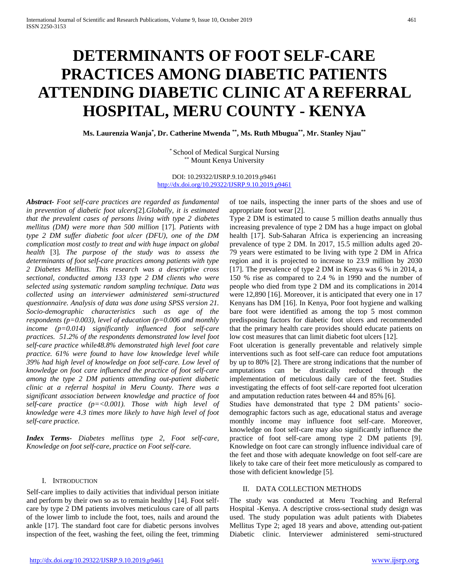# **DETERMINANTS OF FOOT SELF-CARE PRACTICES AMONG DIABETIC PATIENTS ATTENDING DIABETIC CLINIC AT A REFERRAL HOSPITAL, MERU COUNTY - KENYA**

**Ms. Laurenzia Wanja\* , Dr. Catherine Mwenda \*\*, Ms. Ruth Mbugua\*\*, Mr. Stanley Njau\*\***

\* School of Medical Surgical Nursing \*\* Mount Kenya University

DOI: 10.29322/IJSRP.9.10.2019.p9461 <http://dx.doi.org/10.29322/IJSRP.9.10.2019.p9461>

*Abstract- Foot self-care practices are regarded as fundamental in prevention of diabetic foot ulcers*[2]*.Globally, it is estimated that the prevalent cases of persons living with type 2 diabetes mellitus (DM) were more than 500 million* [17]*. Patients with type 2 DM suffer diabetic foot ulcer (DFU), one of the DM complication most costly to treat and with huge impact on global health* [3]*. The purpose of the study was to assess the determinants of foot self-care practices among patients with type 2 Diabetes Mellitus. This research was a descriptive cross sectional, conducted among 133 type 2 DM clients who were selected using systematic random sampling technique. Data was collected using an interviewer administered semi-structured questionnaire. Analysis of data was done using SPSS version 21. Socio-demographic characteristics such as age of the respondents (p=0.003), level of education (p=0.006 and monthly income (p=0.014) significantly influenced foot self-care practices. 51.2% of the respondents demonstrated low level foot self-care practice while48.8% demonstrated high level foot care practice. 61% were found to have low knowledge level while 39% had high level of knowledge on foot self-care. Low level of knowledge on foot care influenced the practice of foot self-care among the type 2 DM patients attending out-patient diabetic clinic at a referral hospital in Meru County. There was a significant association between knowledge and practice of foot self-care practice (p=<0.001). Those with high level of knowledge were 4.3 times more likely to have high level of foot self-care practice.* 

*Index Terms- Diabetes mellitus type 2, Foot self-care, Knowledge on foot self-care, practice on Foot self-care.*

## I. INTRODUCTION

Self-care implies to daily activities that individual person initiate and perform by their own so as to remain healthy [14]. Foot selfcare by type 2 DM patients involves meticulous care of all parts of the lower limb to include the foot, toes, nails and around the ankle [17]. The standard foot care for diabetic persons involves inspection of the feet, washing the feet, oiling the feet, trimming of toe nails, inspecting the inner parts of the shoes and use of appropriate foot wear [2].

Type 2 DM is estimated to cause 5 million deaths annually thus increasing prevalence of type 2 DM has a huge impact on global health [17]. Sub-Saharan Africa is experiencing an increasing prevalence of type 2 DM. In 2017, 15.5 million adults aged 20- 79 years were estimated to be living with type 2 DM in Africa region and it is projected to increase to 23.9 million by 2030 [17]. The prevalence of type 2 DM in Kenya was 6 % in 2014, a 150 % rise as compared to 2.4 % in 1990 and the number of people who died from type 2 DM and its complications in 2014 were 12,890 [16]. Moreover, it is anticipated that every one in 17 Kenyans has DM [16]. In Kenya, Poor foot hygiene and walking bare foot were identified as among the top 5 most common predisposing factors for diabetic foot ulcers and recommended that the primary health care provides should educate patients on low cost measures that can limit diabetic foot ulcers [12].

Foot ulceration is generally preventable and relatively simple interventions such as foot self-care can reduce foot amputations by up to 80% [2]. There are strong indications that the number of amputations can be drastically reduced through the implementation of meticulous daily care of the feet. Studies investigating the effects of foot self-care reported foot ulceration and amputation reduction rates between 44 and 85% [6].

Studies have demonstrated that type 2 DM patients' sociodemographic factors such as age, educational status and average monthly income may influence foot self-care. Moreover, knowledge on foot self-care may also significantly influence the practice of foot self-care among type 2 DM patients [9]. Knowledge on foot care can strongly influence individual care of the feet and those with adequate knowledge on foot self-care are likely to take care of their feet more meticulously as compared to those with deficient knowledge [5].

## II. DATA COLLECTION METHODS

The study was conducted at Meru Teaching and Referral Hospital -Kenya. A descriptive cross-sectional study design was used. The study population was adult patients with Diabetes Mellitus Type 2; aged 18 years and above, attending out-patient Diabetic clinic. Interviewer administered semi-structured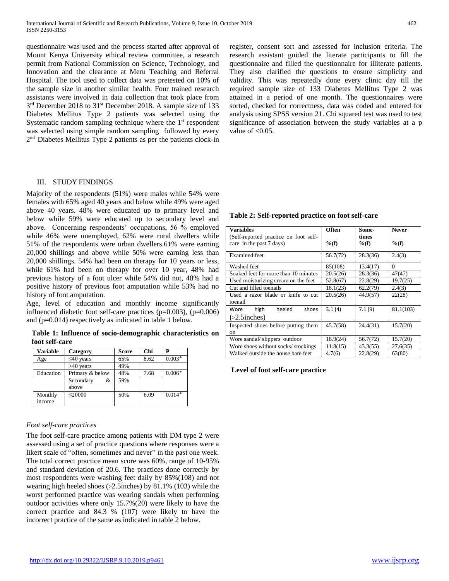questionnaire was used and the process started after approval of Mount Kenya University ethical review committee, a research permit from National Commission on Science, Technology, and Innovation and the clearance at Meru Teaching and Referral Hospital. The tool used to collect data was pretested on 10% of the sample size in another similar health. Four trained research assistants were involved in data collection that took place from 3<sup>rd</sup> December 2018 to 31<sup>st</sup> December 2018. A sample size of 133 Diabetes Mellitus Type 2 patients was selected using the Systematic random sampling technique where the 1<sup>st</sup> respondent was selected using simple random sampling followed by every 2 nd Diabetes Mellitus Type 2 patients as per the patients clock-in

### III. STUDY FINDINGS

Majority of the respondents (51%) were males while 54% were females with 65% aged 40 years and below while 49% were aged above 40 years. 48% were educated up to primary level and below while 59% were educated up to secondary level and above. Concerning respondents' occupations, 56 % employed while 46% were unemployed, 62% were rural dwellers while 51% of the respondents were urban dwellers.61% were earning 20,000 shillings and above while 50% were earning less than 20,000 shillings. 54% had been on therapy for 10 years or less, while 61% had been on therapy for over 10 year, 48% had previous history of a foot ulcer while 54% did not, 48% had a positive history of previous foot amputation while 53% had no history of foot amputation.

Age, level of education and monthly income significantly influenced diabetic foot self-care practices  $(p=0.003)$ ,  $(p=0.006)$ and (p=0.014) respectively as indicated in table 1 below.

**Table 1: Influence of socio-demographic characteristics on foot self-care**

| Variable          | Category                | Score | Chi  |          |
|-------------------|-------------------------|-------|------|----------|
| Age               | $\leq 40$ years         | 65%   | 8.62 | $0.003*$ |
|                   | $>40$ years             | 49%   |      |          |
| Education         | Primary & below         | 48%   | 7.68 | $0.006*$ |
|                   | Secondary<br>&<br>above | 59%   |      |          |
| Monthly<br>income | $<$ 20000               | 50%   | 6.09 | $0.014*$ |

## *Foot self-care practices*

The foot self-care practice among patients with DM type 2 were assessed using a set of practice questions where responses were a likert scale of "often, sometimes and never" in the past one week. The total correct practice mean score was 60%, range of 10-95% and standard deviation of 20.6. The practices done correctly by most respondents were washing feet daily by 85%(108) and not wearing high heeled shoes (>2.5inches) by 81.1% (103) while the worst performed practice was wearing sandals when performing outdoor activities where only 15.7%(20) were likely to have the correct practice and 84.3 % (107) were likely to have the incorrect practice of the same as indicated in table 2 below.

register, consent sort and assessed for inclusion criteria. The research assistant guided the literate participants to fill the questionnaire and filled the questionnaire for illiterate patients. They also clarified the questions to ensure simplicity and validity. This was repeatedly done every clinic day till the required sample size of 133 Diabetes Mellitus Type 2 was attained in a period of one month. The questionnaires were sorted, checked for correctness, data was coded and entered for analysis using SPSS version 21. Chi squared test was used to test significance of association between the study variables at a p value of  $<0.05$ .

**Table 2: Self-reported practice on foot self-care**

| Variables                             | <b>Often</b> | Some-    | <b>Never</b> |
|---------------------------------------|--------------|----------|--------------|
| (Self-reported practice on foot self- |              | times    |              |
| care in the past 7 days)              | $\%(f)$      | $\%(f)$  | $\%(f)$      |
| Examined feet                         | 56.7(72)     | 28.3(36) | 2.4(3)       |
| Washed feet                           | 85(108)      | 13.4(17) | $\Omega$     |
| Soaked feet for more than 10 minutes  | 20.5(26)     | 28.3(36) | 47(47)       |
| Used moisturizing cream on the feet   | 52.8(67)     | 22.8(29) | 19.7(25)     |
| Cut and filled toenails               | 18.1(23)     | 62.2(79) | 2.4(3)       |
| Used a razor blade or knife to cut    | 20.5(26)     | 44.9(57) | 22(28)       |
| toenail                               |              |          |              |
| high<br>heeled<br>Wore<br>shoes       | 3.1(4)       | 7.1(9)   | 81.1(103)    |
| $( >2.5$ inches)                      |              |          |              |
| Inspected shoes before putting them   | 45.7(58)     | 24.4(31) | 15.7(20)     |
| on                                    |              |          |              |
| Wore sandal/slippers outdoor          | 18.9(24)     | 56.7(72) | 15.7(20)     |
| Wore shoes without socks/stockings    | 11.8(15)     | 43.3(55) | 27.6(35)     |
| Walked outside the house bare feet    | 4.7(6)       | 22.8(29) | 63(80)       |

#### **Level of foot self-care practice**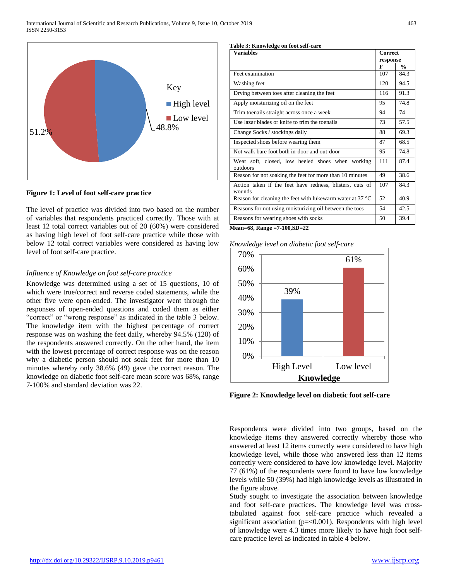

**Figure 1: Level of foot self-care practice**

The level of practice was divided into two based on the number of variables that respondents practiced correctly. Those with at least 12 total correct variables out of 20 (60%) were considered as having high level of foot self-care practice while those with below 12 total correct variables were considered as having low level of foot self-care practice.

# *Influence of Knowledge on foot self-care practice*

Knowledge was determined using a set of 15 questions, 10 of which were true/correct and reverse coded statements, while the other five were open-ended. The investigator went through the responses of open-ended questions and coded them as either "correct" or "wrong response" as indicated in the table 3 below. The knowledge item with the highest percentage of correct response was on washing the feet daily, whereby 94.5% (120) of the respondents answered correctly. On the other hand, the item with the lowest percentage of correct response was on the reason why a diabetic person should not soak feet for more than 10 minutes whereby only 38.6% (49) gave the correct reason. The knowledge on diabetic foot self-care mean score was 68%, range 7-100% and standard deviation was 22.

#### **Table 3: Knowledge on foot self-care**

| <b>Variables</b>                                                    |     | Correct<br>response |  |
|---------------------------------------------------------------------|-----|---------------------|--|
|                                                                     | F   | $\frac{0}{n}$       |  |
| Feet examination                                                    | 107 | 84.3                |  |
| Washing feet                                                        | 120 | 94.5                |  |
| Drying between toes after cleaning the feet                         | 116 | 91.3                |  |
| Apply moisturizing oil on the feet                                  | 95  | 74.8                |  |
| Trim toenails straight across once a week                           | 94  | 74                  |  |
| Use lazar blades or knife to trim the toenails                      | 73  | 57.5                |  |
| Change Socks / stockings daily                                      | 88  | 69.3                |  |
| Inspected shoes before wearing them                                 | 87  | 68.5                |  |
| Not walk bare foot both in-door and out-door                        | 95  | 74.8                |  |
| Wear soft, closed, low heeled shoes when working<br>outdoors        | 111 | 87.4                |  |
| Reason for not soaking the feet for more than 10 minutes            | 49  | 38.6                |  |
| Action taken if the feet have redness, blisters, cuts of<br>wounds  | 107 | 84.3                |  |
| Reason for cleaning the feet with lukewarm water at 37 $^{\circ}$ C | 52  | 40.9                |  |
| Reasons for not using moisturizing oil between the toes             | 54  | 42.5                |  |
| Reasons for wearing shoes with socks                                | 50  | 39.4                |  |

**Mean=68, Range =7-100,SD=22**

*Knowledge level on diabetic foot self-care*



**Figure 2: Knowledge level on diabetic foot self-care**

Respondents were divided into two groups, based on the knowledge items they answered correctly whereby those who answered at least 12 items correctly were considered to have high knowledge level, while those who answered less than 12 items correctly were considered to have low knowledge level. Majority 77 (61%) of the respondents were found to have low knowledge levels while 50 (39%) had high knowledge levels as illustrated in the figure above.

Study sought to investigate the association between knowledge and foot self-care practices. The knowledge level was crosstabulated against foot self-care practice which revealed a significant association (p=<0.001). Respondents with high level of knowledge were 4.3 times more likely to have high foot selfcare practice level as indicated in table 4 below.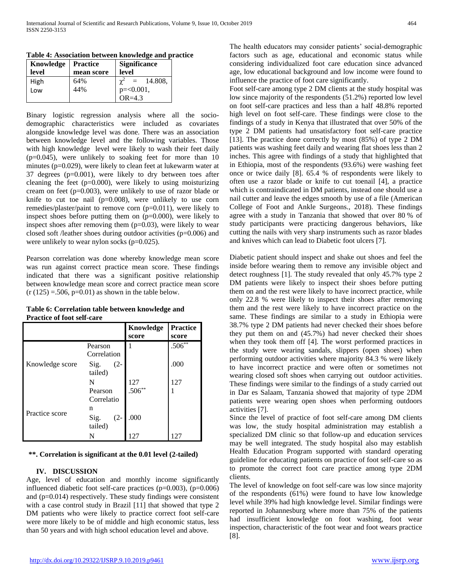| Knowledge | <b>Practice</b> | <b>Significance</b>             |  |
|-----------|-----------------|---------------------------------|--|
| level     | mean score      | level                           |  |
| High      | 64%             | $\chi^2$<br>14.808,<br>$\equiv$ |  |
| Low       | 44%             | $p = 0.001$ ,                   |  |
|           |                 | $OR = 4.3$                      |  |

**Table 4: Association between knowledge and practice**

Binary logistic regression analysis where all the sociodemographic characteristics were included as covariates alongside knowledge level was done. There was an association between knowledge level and the following variables. Those with high knowledge level were likely to wash their feet daily (p=0.045), were unlikely to soaking feet for more than 10 minutes (p=0.029), were likely to clean feet at lukewarm water at 37 degrees (p=0.001), were likely to dry between toes after cleaning the feet (p=0.000), were likely to using moisturizing cream on feet (p=0.003), were unlikely to use of razor blade or knife to cut toe nail  $(p=0.008)$ , were unlikely to use corn remedies/plaster/paint to remove corn (p=0.011), were likely to inspect shoes before putting them on  $(p=0.000)$ , were likely to inspect shoes after removing them  $(p=0.03)$ , were likely to wear closed soft /leather shoes during outdoor activities (p=0.006) and were unlikely to wear nylon socks  $(p=0.025)$ .

Pearson correlation was done whereby knowledge mean score was run against correct practice mean score. These findings indicated that there was a significant positive relationship between knowledge mean score and correct practice mean score  $(r (125) = 506, p=0.01)$  as shown in the table below.

|                 |                | Knowledge   | <b>Practice</b> |
|-----------------|----------------|-------------|-----------------|
|                 |                | score       | score           |
|                 | Pearson        |             | $.506***$       |
|                 | Correlation    |             |                 |
| Knowledge score | $(2 -$<br>Sig. |             | .000            |
|                 | tailed)        |             |                 |
|                 | N              | $127.506**$ | 127             |
|                 | Pearson        |             |                 |
|                 | Correlatio     |             |                 |
|                 | n              |             |                 |
| Practice score  | Sig.<br>$(2 -$ | .000        |                 |
|                 | tailed)        |             |                 |
|                 | N              | 127         | 127             |

| Table 6: Correlation table between knowledge and |  |  |
|--------------------------------------------------|--|--|
| <b>Practice of foot self-care</b>                |  |  |

## **\*\*. Correlation is significant at the 0.01 level (2-tailed)**

## **IV. DISCUSSION**

Age, level of education and monthly income significantly influenced diabetic foot self-care practices (p=0.003), (p=0.006) and (p=0.014) respectively. These study findings were consistent with a case control study in Brazil [11] that showed that type 2 DM patients who were likely to practice correct foot self-care were more likely to be of middle and high economic status, less than 50 years and with high school education level and above.

The health educators may consider patients' social-demographic factors such as age, educational and economic status while considering individualized foot care education since advanced age, low educational background and low income were found to influence the practice of foot care significantly.

Foot self-care among type 2 DM clients at the study hospital was low since majority of the respondents (51.2%) reported low level on foot self-care practices and less than a half 48.8% reported high level on foot self-care. These findings were close to the findings of a study in Kenya that illustrated that over 50% of the type 2 DM patients had unsatisfactory foot self-care practice [13]. The practice done correctly by most (85%) of type 2 DM patients was washing feet daily and wearing flat shoes less than 2 inches. This agree with findings of a study that highlighted that in Ethiopia, most of the respondents (93.6%) were washing feet once or twice daily [8]. 65.4 % of respondents were likely to often use a razor blade or knife to cut toenail [4], a practice which is contraindicated in DM patients, instead one should use a nail cutter and leave the edges smooth by use of a file (American College of Foot and Ankle Surgeons., 2018). These findings agree with a study in Tanzania that showed that over 80 % of study participants were practicing dangerous behaviors, like cutting the nails with very sharp instruments such as razor blades and knives which can lead to Diabetic foot ulcers [7].

Diabetic patient should inspect and shake out shoes and feel the inside before wearing them to remove any invisible object and detect roughness [1]. The study revealed that only 45.7% type 2 DM patients were likely to inspect their shoes before putting them on and the rest were likely to have incorrect practice, while only 22.8 % were likely to inspect their shoes after removing them and the rest were likely to have incorrect practice on the same. These findings are similar to a study in Ethiopia were 38.7% type 2 DM patients had never checked their shoes before they put them on and (45.7%) had never checked their shoes when they took them off [4]. The worst performed practices in the study were wearing sandals, slippers (open shoes) when performing outdoor activities where majority 84.3 % were likely to have incorrect practice and were often or sometimes not wearing closed soft shoes when carrying out outdoor activities. These findings were similar to the findings of a study carried out in Dar es Salaam, Tanzania showed that majority of type 2DM patients were wearing open shoes when performing outdoors activities [7].

Since the level of practice of foot self-care among DM clients was low, the study hospital administration may establish a specialized DM clinic so that follow-up and education services may be well integrated. The study hospital also may establish Health Education Program supported with standard operating guideline for educating patients on practice of foot self-care so as to promote the correct foot care practice among type 2DM clients.

The level of knowledge on foot self-care was low since majority of the respondents (61%) were found to have low knowledge level while 39% had high knowledge level. Similar findings were reported in Johannesburg where more than 75% of the patients had insufficient knowledge on foot washing, foot wear inspection, characteristic of the foot wear and foot wears practice [8].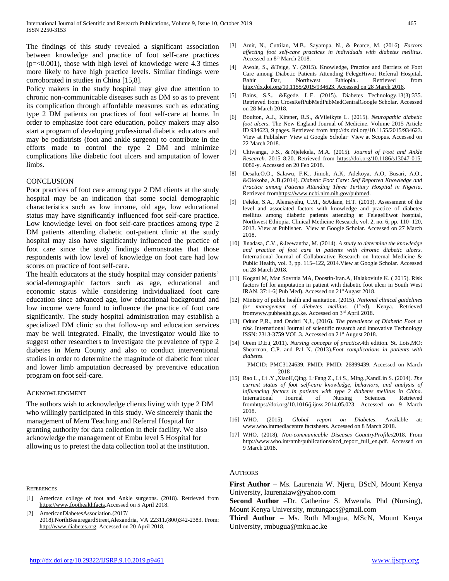The findings of this study revealed a significant association between knowledge and practice of foot self-care practices  $(p=<0.001)$ , those with high level of knowledge were 4.3 times more likely to have high practice levels. Similar findings were corroborated in studies in China [15,8].

Policy makers in the study hospital may give due attention to chronic non-communicable diseases such as DM so as to prevent its complication through affordable measures such as educating type 2 DM patients on practices of foot self-care at home. In order to emphasize foot care education, policy makers may also start a program of developing professional diabetic educators and may be podiatrists (foot and ankle surgeon) to contribute in the efforts made to control the type 2 DM and minimize complications like diabetic foot ulcers and amputation of lower limbs.

## **CONCLUSION**

Poor practices of foot care among type 2 DM clients at the study hospital may be an indication that some social demographic characteristics such as low income, old age, low educational status may have significantly influenced foot self-care practice. Low knowledge level on foot self-care practices among type 2 DM patients attending diabetic out-patient clinic at the study hospital may also have significantly influenced the practice of foot care since the study findings demonstrates that those respondents with low level of knowledge on foot care had low scores on practice of foot self-care.

The health educators at the study hospital may consider patients' social-demographic factors such as age, educational and economic status while considering individualized foot care education since advanced age, low educational background and low income were found to influence the practice of foot care significantly. The study hospital administration may establish a specialized DM clinic so that follow-up and education services may be well integrated. Finally, the investigator would like to suggest other researchers to investigate the prevalence of type 2 diabetes in Meru County and also to conduct interventional studies in order to determine the magnitude of diabetic foot ulcer and lower limb amputation decreased by preventive education program on foot self-care.

## ACKNOWLEDGMENT

The authors wish to acknowledge clients living with type 2 DM who willingly participated in this study. We sincerely thank the management of Meru Teaching and Referral Hospital for granting authority for data collection in their facility. We also acknowledge the management of Embu level 5 Hospital for allowing us to pretest the data collection tool at the institution.

#### **REFERENCES**

[1] American college of foot and Ankle surgeons. (2018). Retrieved from [https://www.foothealthfacts.](https://www.foothealthfacts/)Accessed on 5 April 2018.

[2] AmericanDiabetesAssociation.(2017/ 2018).NorthBeauregardStreet,Alexandria, VA 22311.(800)342-2383. From: [http://www.diabetes.org.](http://www.diabetes.org/) Accessed on 20 April 2018.

- [3] Amit, N., Cuttilan, M.B., Sayampa, N., & Pearce, M. (2016). *Factors affecting foot self-care practices in individuals with diabetes mellitus.*  Accessed on 8<sup>th</sup> March 2018.
- [4] Awole, S., &Tsige, Y. (2015). Knowledge, Practice and Barriers of Foot Care among Diabetic Patients Attending FelegeHiwot Referral Hospital, Bahir Dar, Northwest Ethiopia.. Retrieved from [http://dx.doi.org/10.1155/2015/934623. Accessed on 28 March 2018.](http://dx.doi.org/10.1155/2015/934623.%20Accessed%20on%2028%20March%202018)
- [5] Bains, S.S., &Egede, L.E. (2015). Diabetes Technology.13(3):335. Retrieved from [CrossRefPubMed](https://doi.org/10.1089/dia.2010.0160)[PubMedCentralGoogle Scholar.](http://www.ncbi.nlm.nih.gov/pmc/articles/PMC3690006) Accessed on 28 March 2018.
- [6] Boulton, A.J., Kirsner, R.S., &Vileikyte L. (2015). *Neuropathic diabetic foot ulcers.* The New England Journal of Medicine. Volume 2015 Article ID 934623, 9 pages. Retrieved fro[m http://dx.doi.org/10.1155/2015/934623.](http://dx.doi.org/10.1155/2015/934623) View at Publisher· View at Google Scholar· View at Scopus. Accessed on 22 March 2018.
- [7] Chiwanga, F.S., & Njelekela, M.A. (2015). *Journal of Foot and Ankle Research.* 2015 8:20. Retrieved from [https://doi.org/10.1186/s13047-015-](https://doi.org/10.1186/s13047-015-0080-y) [0080-y.](https://doi.org/10.1186/s13047-015-0080-y) Accessed on 20 Feb 2018.
- [8] [Desalu,O](https://www.ncbi.nlm.nih.gov/pubmed/?term=Desalu%20OO%5BAuthor%5D&cauthor=true&cauthor_uid=21857723).O., [Salawu,](https://www.ncbi.nlm.nih.gov/pubmed/?term=Salawu%20FK%5BAuthor%5D&cauthor=true&cauthor_uid=21857723) F.K., [Jimoh,](https://www.ncbi.nlm.nih.gov/pubmed/?term=Jimoh%20AK%5BAuthor%5D&cauthor=true&cauthor_uid=21857723) A.K, [Adekoya,](https://www.ncbi.nlm.nih.gov/pubmed/?term=Adekoya%20AO%5BAuthor%5D&cauthor=true&cauthor_uid=21857723) A.O, [Busari,](https://www.ncbi.nlm.nih.gov/pubmed/?term=Busari%20OA%5BAuthor%5D&cauthor=true&cauthor_uid=21857723) A.O., [&Olokoba,](https://www.ncbi.nlm.nih.gov/pubmed/?term=Olokoba%20AB%5BAuthor%5D&cauthor=true&cauthor_uid=21857723) A.B.(2014). *Diabetic Foot Care: Self Reported Knowledge and Practice among Patients Attending Three Tertiary Hospital in Nigeria*. Retrieved fro[mhttps://www.ncbi.nlm.nih.gov/pubmed.](https://www.ncbi.nlm.nih.gov/pubmed)
- [9] Feleke, S.A., Alemayehu, C.M., &Adane, H.T. (2013). Assessment of the level and associated factors with knowledge and practice of diabetes mellitus among diabetic patients attending at FelegeHiwot hospital, Northwest Ethiopia. Clinical Medicine Research, vol. 2, no. 6, pp. 110–120, 2013. View at Publisher. View at Google Scholar. Accessed on 27 March 2018.
- [10] Jinadasa, C.V., &Jeewantha, M. (2014). *A study to determine the knowledge and practice of foot care in patients with chronic diabetic ulcers.*  International Journal of Collaborative Research on Internal Medicine & Public Health, vol. 3, pp. 115–122, 2014.View at Google Scholar. Accessed on 28 March 2018.
- [11] Kogani M, Man Sovrnia MA, Doostin-Iran.A, Halakoviuie K. ( 2015). Risk factors fof for amputation in patient with diabetic foot ulcer in South West IRAN. 37:1-6( Pub Med). Accessed on  $21<sup>st</sup>$ Augast 2018.
- [12] Ministry of public health and sanitation. (2015). *National clinical guidelines*  for management of diabetes mellitus. (1<sup>st</sup>ed). Kenya. Retrieved fro[mwww.pubhealth.go.ke.](http://www.pubhealth.go.ke/) Accessed on 3rd April 2018.
- [13] Oduor P,R., and Ondari N,J., (2016). *The prevalence of Diabetic Foot at risk.* International Journal of scientific research and innovative Technology ISSN: 2313-3759 VOL.3. Accessed on 21st August 2018.
- [14] Orem D,E.( 2011). *Nursing concepts of practice.*4th edition. St. Lois,MO: Shearman, C.P. and Pal N. (2013).*Foot complications in patients with diabetes.*

 PMCID: PMC3124639. PMID: PMID: [26899439.](https://www.ncbi.nlm.nih.gov/pubmed/26899439) Accessed on March 2018

- [15] [Rao L., Li .Y.,XiaoH,Qing. L](https://www.sciencedirect.com/science/article/pii/S2352013214000738#!).,[Fang Z., Li S., Ming.,XandLin S. \(](https://www.sciencedirect.com/science/article/pii/S2352013214000738#!)2014). *The current status of foot self-care knowledge, behaviors, and analysis of influencing factors in patients with type 2 diabetes mellitus in China.*  [International Journal of Nursing Sciences.](https://www.sciencedirect.com/science/journal/23520132) Retrieved fro[mhttps://doi.org/10.1016/j.ijnss.2014.05.023.](https://doi.org/10.1016/j.ijnss.2014.05.023) Accessed on 9 March 2018.
- [16] WHO. (2015). *Global report on Diabetes*. Available at: [www.who.intm](http://www.who.int/)ediacentre factsheets. Accessed on 8 March 2018.
- [17] WHO. (2018), *Non-communicable Diseases CountryProfiles*2018. From [http://www.who.int/nmh/publications/ncd\\_report\\_full\\_en.pdf.](http://www.who.int/nmh/publications/ncd_report_full_en.pdf) Accessed on 9 March 2018.

## AUTHORS

**First Author** – Ms. Laurenzia W. Njeru, BScN, Mount Kenya University, [laurenziaw@yahoo.com](mailto:laurenziaw@yahoo.com)

**Second Author** –Dr. Catherine S. Mwenda, Phd (Nursing), Mount Kenya University, mutungacs@gmail.com

**Third Author** – Ms. Ruth Mbugua, MScN, Mount Kenya University, rmbugua@mku.ac.ke